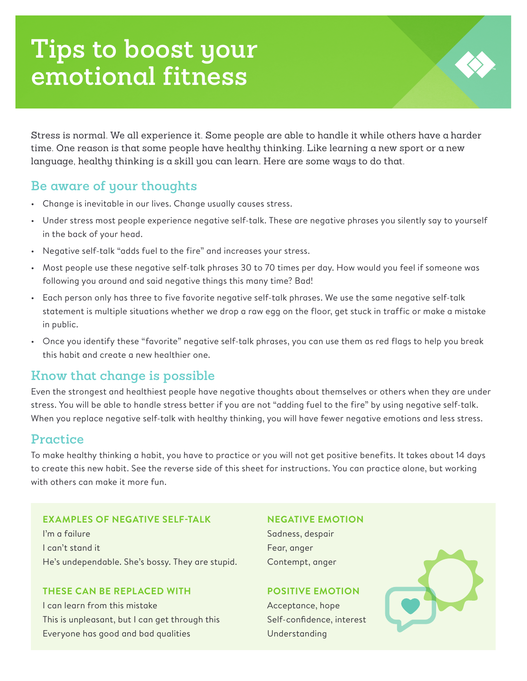# **Tips to boost your emotional fitness**

Stress is normal. We all experience it. Some people are able to handle it while others have a harder time. One reason is that some people have healthy thinking. Like learning a new sport or a new language, healthy thinking is a skill you can learn. Here are some ways to do that.

## **Be aware of your thoughts**

- Change is inevitable in our lives. Change usually causes stress.
- Under stress most people experience negative self-talk. These are negative phrases you silently say to yourself in the back of your head.
- Negative self-talk "adds fuel to the fire" and increases your stress.
- Most people use these negative self-talk phrases 30 to 70 times per day. How would you feel if someone was following you around and said negative things this many time? Bad!
- Each person only has three to five favorite negative self-talk phrases. We use the same negative self-talk statement is multiple situations whether we drop a raw egg on the floor, get stuck in traffic or make a mistake in public.
- Once you identify these "favorite" negative self-talk phrases, you can use them as red flags to help you break this habit and create a new healthier one.

## **Know that change is possible**

Even the strongest and healthiest people have negative thoughts about themselves or others when they are under stress. You will be able to handle stress better if you are not "adding fuel to the fire" by using negative self-talk. When you replace negative self-talk with healthy thinking, you will have fewer negative emotions and less stress.

## **Practice**

To make healthy thinking a habit, you have to practice or you will not get positive benefits. It takes about 14 days to create this new habit. See the reverse side of this sheet for instructions. You can practice alone, but working with others can make it more fun.

## **EXAMPLES OF NEGATIVE SELF-TALK NEGATIVE EMOTION**

I'm a failure Sadness, despair Sadness, despair I can't stand it **Fear, anger** He's undependable. She's bossy. They are stupid. Contempt, anger

## **THESE CAN BE REPLACED WITH POSITIVE EMOTION**

I can learn from this mistake Acceptance, hope Acceptance, hope This is unpleasant, but I can get through this Self-confidence, interest Everyone has good and bad qualities Understanding